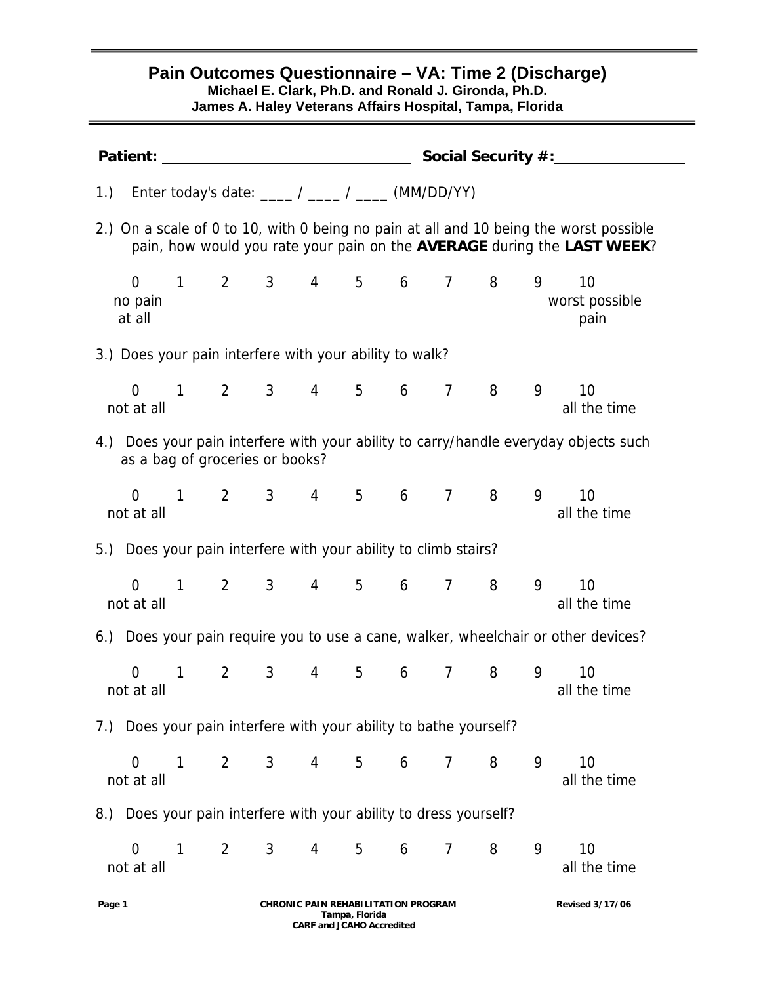## **Pain Outcomes Questionnaire – VA: Time 2 (Discharge) Michael E. Clark, Ph.D. and Ronald J. Gironda, Ph.D. James A. Haley Veterans Affairs Hospital, Tampa, Florida**  Patient: Social Security #: 1.) Enter today's date:  $\angle$  /  $\angle$  (MM/DD/YY) 2.) On a scale of 0 to 10, with 0 being no pain at all and 10 being the worst possible pain, how would you rate your pain on the **AVERAGE** during the **LAST WEEK**? 0 1 2 3 4 5 6 7 8 9 10 no pain worst possible at all solutions are all painting to the contract of the contract of the contract of the contract of the contract of the contract of the contract of the contract of the contract of the contract of the contract of the contr 3.) Does your pain interfere with your ability to walk? 0 1 2 3 4 5 6 7 8 9 10 not at all the time and the time and the time and the time and the time and the time and the time and the time 4.) Does your pain interfere with your ability to carry/handle everyday objects such as a bag of groceries or books? 0 1 2 3 4 5 6 7 8 9 10 not at all the time and the time and the time and the time and the time and the time and the time and the time 5.) Does your pain interfere with your ability to climb stairs? 0 1 2 3 4 5 6 7 8 9 10 not at all all all all all the time and the time and the time all the time all the time 6.) Does your pain require you to use a cane, walker, wheelchair or other devices? 0 1 2 3 4 5 6 7 8 9 10 not at all all the time and the time and the time and the time and the time and the time 7.) Does your pain interfere with your ability to bathe yourself? 0 1 2 3 4 5 6 7 8 9 10 not at all the time and the time and the time and the time and the time and the time and the time and the time 8.) Does your pain interfere with your ability to dress yourself? 0 1 2 3 4 5 6 7 8 9 10

not at all and the time and the time and the time and the time and the time and the time and the time and the time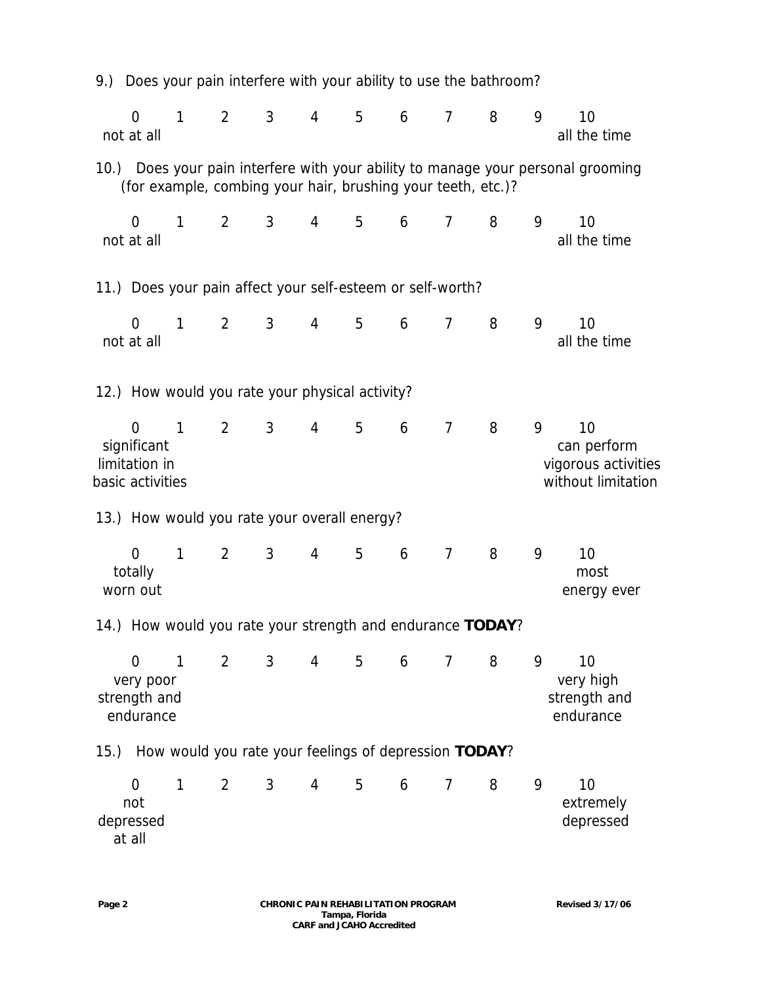|                                                          |              |                |                |                                                              |                | 9.) Does your pain interfere with your ability to use the bathroom? |                |   |   |                                                                                  |
|----------------------------------------------------------|--------------|----------------|----------------|--------------------------------------------------------------|----------------|---------------------------------------------------------------------|----------------|---|---|----------------------------------------------------------------------------------|
| $\overline{0}$<br>not at all                             | $\mathbf{1}$ | $\overline{2}$ | 3              | 4                                                            | 5              | 6                                                                   | $\overline{7}$ | 8 | 9 | 10<br>all the time                                                               |
|                                                          |              |                |                | (for example, combing your hair, brushing your teeth, etc.)? |                |                                                                     |                |   |   | 10.) Does your pain interfere with your ability to manage your personal grooming |
| $\overline{0}$<br>not at all                             | 1            | $\overline{2}$ | 3              | 4                                                            | 5              | 6                                                                   | $\overline{7}$ | 8 | 9 | 10<br>all the time                                                               |
|                                                          |              |                |                | 11.) Does your pain affect your self-esteem or self-worth?   |                |                                                                     |                |   |   |                                                                                  |
| 0<br>not at all                                          | $\mathbf{1}$ | $\overline{2}$ | 3              | 4                                                            | 5              | 6                                                                   | $\overline{7}$ | 8 | 9 | 10<br>all the time                                                               |
|                                                          |              |                |                | 12.) How would you rate your physical activity?              |                |                                                                     |                |   |   |                                                                                  |
| 0<br>significant<br>limitation in<br>basic activities    | $\mathbf{1}$ | $\overline{2}$ | 3              | 4                                                            | 5              | 6                                                                   | $\overline{7}$ | 8 | 9 | 10<br>can perform<br>vigorous activities<br>without limitation                   |
|                                                          |              |                |                | 13.) How would you rate your overall energy?                 |                |                                                                     |                |   |   |                                                                                  |
| 0<br>totally<br>worn out                                 | 1            | $\overline{2}$ | 3              | 4                                                            | 5              | 6                                                                   | $\overline{7}$ | 8 | 9 | 10<br>most<br>energy ever                                                        |
|                                                          |              |                |                | 14.) How would you rate your strength and endurance TODAY?   |                |                                                                     |                |   |   |                                                                                  |
| $\overline{0}$<br>very poor<br>strength and<br>endurance | $\mathbf{1}$ | $\overline{2}$ | $\mathfrak{Z}$ | $4\overline{ }$                                              | $5\phantom{.}$ | 6                                                                   | $\overline{7}$ | 8 | 9 | 10<br>very high<br>strength and<br>endurance                                     |
|                                                          |              |                |                | 15.) How would you rate your feelings of depression TODAY?   |                |                                                                     |                |   |   |                                                                                  |
| $\mathbf 0$<br>not<br>depressed                          | 1            | $\overline{2}$ | 3              | 4                                                            | 5              | 6                                                                   | $\overline{7}$ | 8 | 9 | 10<br>extremely<br>depressed                                                     |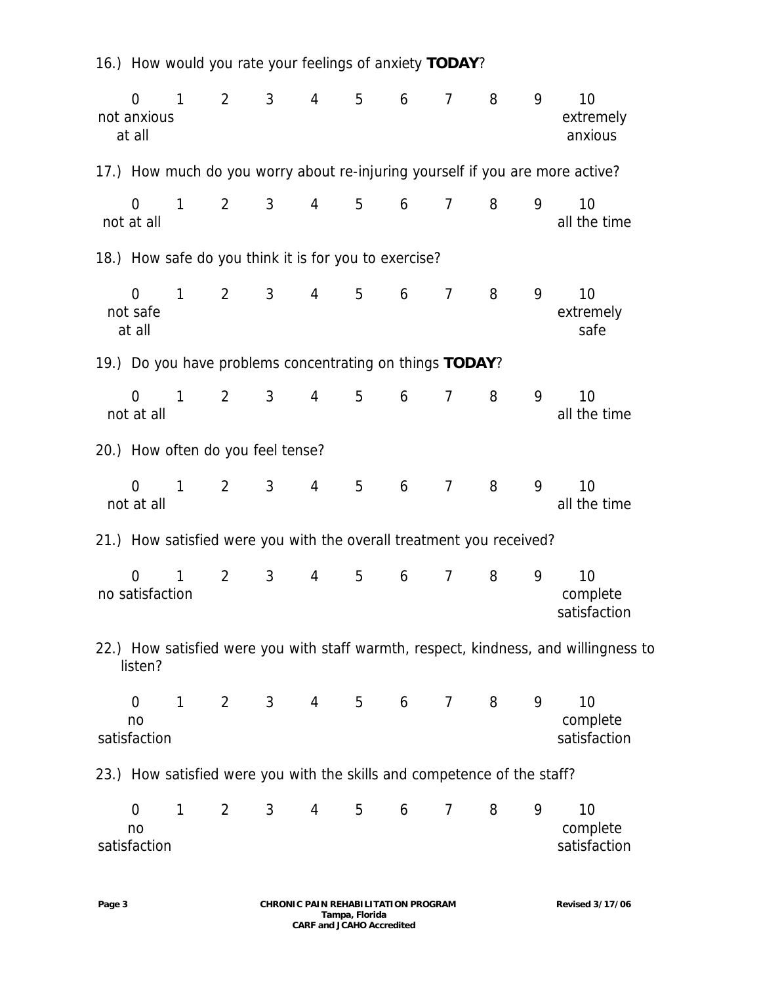| $\overline{0}$<br>not anxious<br>at all | $\mathbf{1}$ | $\overline{2}$ | 3 <sup>7</sup>                                                           | $\overline{4}$ | 5           | 6        | $\overline{7}$ | 8 | 9 | 10<br>extremely<br>anxious                                                           |
|-----------------------------------------|--------------|----------------|--------------------------------------------------------------------------|----------------|-------------|----------|----------------|---|---|--------------------------------------------------------------------------------------|
|                                         |              |                |                                                                          |                |             |          |                |   |   | 17.) How much do you worry about re-injuring yourself if you are more active?        |
| $\overline{0}$<br>not at all            | $\mathbf{1}$ | $\overline{2}$ | $\mathbf{3}$                                                             | $\overline{4}$ | 5           | 6        | $\overline{7}$ | 8 | 9 | 10<br>all the time                                                                   |
|                                         |              |                | 18.) How safe do you think it is for you to exercise?                    |                |             |          |                |   |   |                                                                                      |
| $\overline{0}$<br>not safe<br>at all    | $\mathbf{1}$ | 2              | 3 <sup>7</sup>                                                           | $\overline{4}$ | 5           | 6        | $\overline{7}$ | 8 | 9 | 10<br>extremely<br>safe                                                              |
|                                         |              |                | 19.) Do you have problems concentrating on things TODAY?                 |                |             |          |                |   |   |                                                                                      |
| $\overline{0}$<br>not at all            | $\mathbf{1}$ | $\overline{2}$ | 3                                                                        | $\overline{4}$ | 5           | 6        | $\overline{7}$ | 8 | 9 | 10<br>all the time                                                                   |
|                                         |              |                | 20.) How often do you feel tense?                                        |                |             |          |                |   |   |                                                                                      |
| $\overline{0}$<br>not at all            | $\mathbf{1}$ | $\overline{2}$ | $\mathbf{3}$                                                             | $\overline{4}$ | 5           | 6        | $\overline{7}$ | 8 | 9 | 10<br>all the time                                                                   |
|                                         |              |                | 21.) How satisfied were you with the overall treatment you received?     |                |             |          |                |   |   |                                                                                      |
| $\overline{0}$<br>no satisfaction       | $\mathbf{1}$ | $\overline{2}$ | $\mathbf{3}$                                                             | 4              | 5           | 6        | $\overline{7}$ | 8 | 9 | 10<br>complete<br>satisfaction                                                       |
| listen?                                 |              |                |                                                                          |                |             |          |                |   |   | 22.) How satisfied were you with staff warmth, respect, kindness, and willingness to |
| $\overline{0}$<br>no<br>satisfaction    | $\mathbf{1}$ | $\overline{2}$ | 3 <sup>7</sup>                                                           | $\overline{4}$ | $5^{\circ}$ | $6\quad$ | $\overline{7}$ | 8 | 9 | 10<br>complete<br>satisfaction                                                       |
|                                         |              |                | 23.) How satisfied were you with the skills and competence of the staff? |                |             |          |                |   |   |                                                                                      |
| $\overline{0}$<br>no<br>satisfaction    | $\mathbf{1}$ | $\overline{2}$ | 3 <sup>7</sup>                                                           | 4              | 5           | 6        | $\overline{7}$ | 8 | 9 | 10<br>complete<br>satisfaction                                                       |

16.) How would you rate your feelings of anxiety **TODAY**?